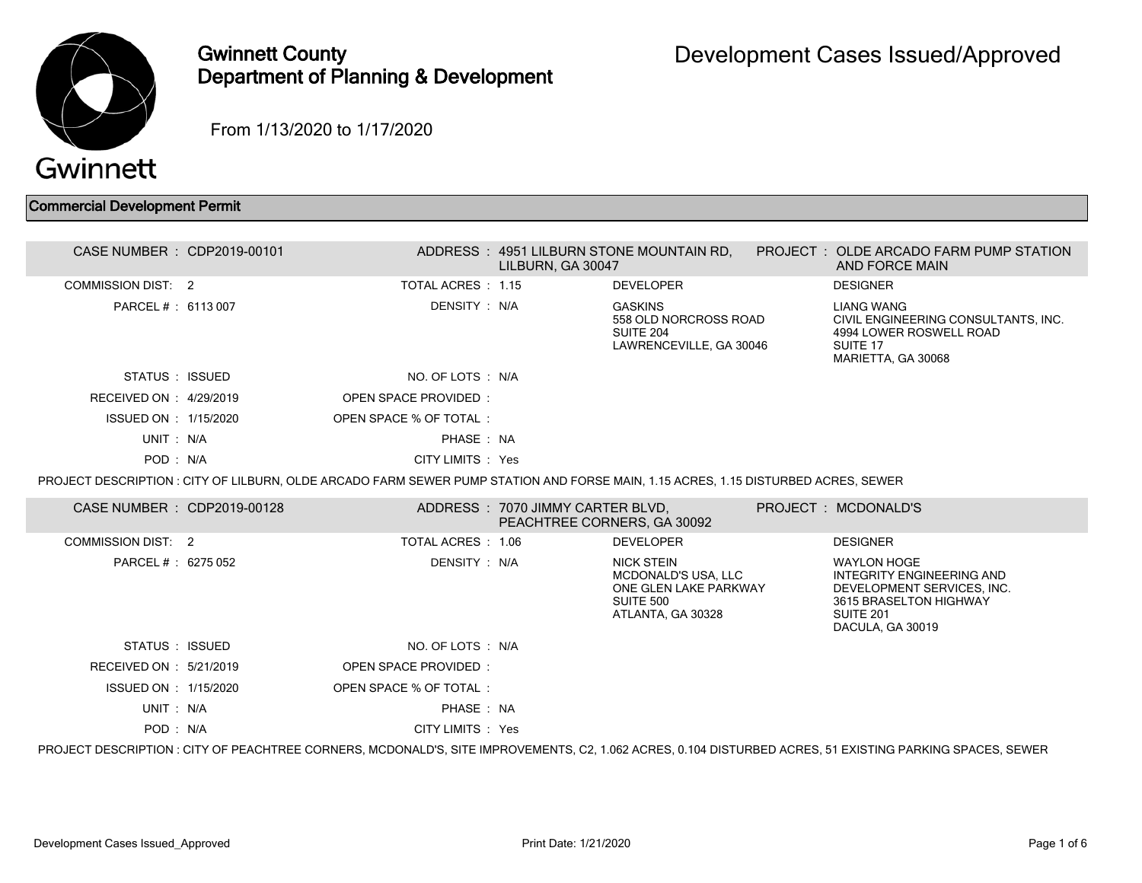

## Gwinnett County Department of Planning & Development

From 1/13/2020 to 1/17/2020

## Commercial Development Permit

| CASE NUMBER : CDP2019-00101 |                                                                                                                                    | LILBURN. GA 30047                                               | ADDRESS: 4951 LILBURN STONE MOUNTAIN RD,                                                                   | PROJECT : OLDE ARCADO FARM PUMP STATION<br>AND FORCE MAIN                                                                                                 |
|-----------------------------|------------------------------------------------------------------------------------------------------------------------------------|-----------------------------------------------------------------|------------------------------------------------------------------------------------------------------------|-----------------------------------------------------------------------------------------------------------------------------------------------------------|
| <b>COMMISSION DIST: 2</b>   | TOTAL ACRES : 1.15                                                                                                                 |                                                                 | <b>DEVELOPER</b>                                                                                           | <b>DESIGNER</b>                                                                                                                                           |
| PARCEL # : 6113 007         | DENSITY : N/A                                                                                                                      |                                                                 | <b>GASKINS</b><br>558 OLD NORCROSS ROAD<br>SUITE 204<br>LAWRENCEVILLE, GA 30046                            | LIANG WANG<br>CIVIL ENGINEERING CONSULTANTS, INC.<br>4994 LOWER ROSWELL ROAD<br>SUITE 17<br>MARIETTA, GA 30068                                            |
| STATUS : ISSUED             | NO. OF LOTS : N/A                                                                                                                  |                                                                 |                                                                                                            |                                                                                                                                                           |
| RECEIVED ON : 4/29/2019     | OPEN SPACE PROVIDED:                                                                                                               |                                                                 |                                                                                                            |                                                                                                                                                           |
| ISSUED ON : 1/15/2020       | OPEN SPACE % OF TOTAL:                                                                                                             |                                                                 |                                                                                                            |                                                                                                                                                           |
| UNIT: N/A                   | PHASE: NA                                                                                                                          |                                                                 |                                                                                                            |                                                                                                                                                           |
| POD: N/A                    | CITY LIMITS : Yes                                                                                                                  |                                                                 |                                                                                                            |                                                                                                                                                           |
|                             | PROJECT DESCRIPTION : CITY OF LILBURN, OLDE ARCADO FARM SEWER PUMP STATION AND FORSE MAIN, 1.15 ACRES, 1.15 DISTURBED ACRES, SEWER |                                                                 |                                                                                                            |                                                                                                                                                           |
| CASE NUMBER : CDP2019-00128 |                                                                                                                                    | ADDRESS: 7070 JIMMY CARTER BLVD,<br>PEACHTREE CORNERS, GA 30092 |                                                                                                            | PROJECT : MCDONALD'S                                                                                                                                      |
| <b>COMMISSION DIST: 2</b>   | TOTAL ACRES: 1.06                                                                                                                  |                                                                 | <b>DEVELOPER</b>                                                                                           | <b>DESIGNER</b>                                                                                                                                           |
| PARCEL # : 6275 052         | DENSITY : N/A                                                                                                                      |                                                                 | <b>NICK STEIN</b><br><b>MCDONALD'S USA, LLC</b><br>ONE GLEN LAKE PARKWAY<br>SUITE 500<br>ATLANTA, GA 30328 | <b>WAYLON HOGE</b><br><b>INTEGRITY ENGINEERING AND</b><br>DEVELOPMENT SERVICES. INC.<br>3615 BRASELTON HIGHWAY<br>SUITE 201<br>DACULA, GA 30019           |
| STATUS : ISSUED             | NO. OF LOTS : N/A                                                                                                                  |                                                                 |                                                                                                            |                                                                                                                                                           |
| RECEIVED ON : 5/21/2019     | OPEN SPACE PROVIDED:                                                                                                               |                                                                 |                                                                                                            |                                                                                                                                                           |
| ISSUED ON : 1/15/2020       | OPEN SPACE % OF TOTAL:                                                                                                             |                                                                 |                                                                                                            |                                                                                                                                                           |
| UNIT: N/A                   | PHASE: NA                                                                                                                          |                                                                 |                                                                                                            |                                                                                                                                                           |
| POD: N/A                    | CITY LIMITS : Yes                                                                                                                  |                                                                 |                                                                                                            |                                                                                                                                                           |
|                             |                                                                                                                                    |                                                                 |                                                                                                            | PROJECT DESCRIPTION : CITY OF PEACHTREE CORNERS, MCDONALD'S, SITE IMPROVEMENTS, C2, 1.062 ACRES, 0.104 DISTURBED ACRES, 51 EXISTING PARKING SPACES, SEWER |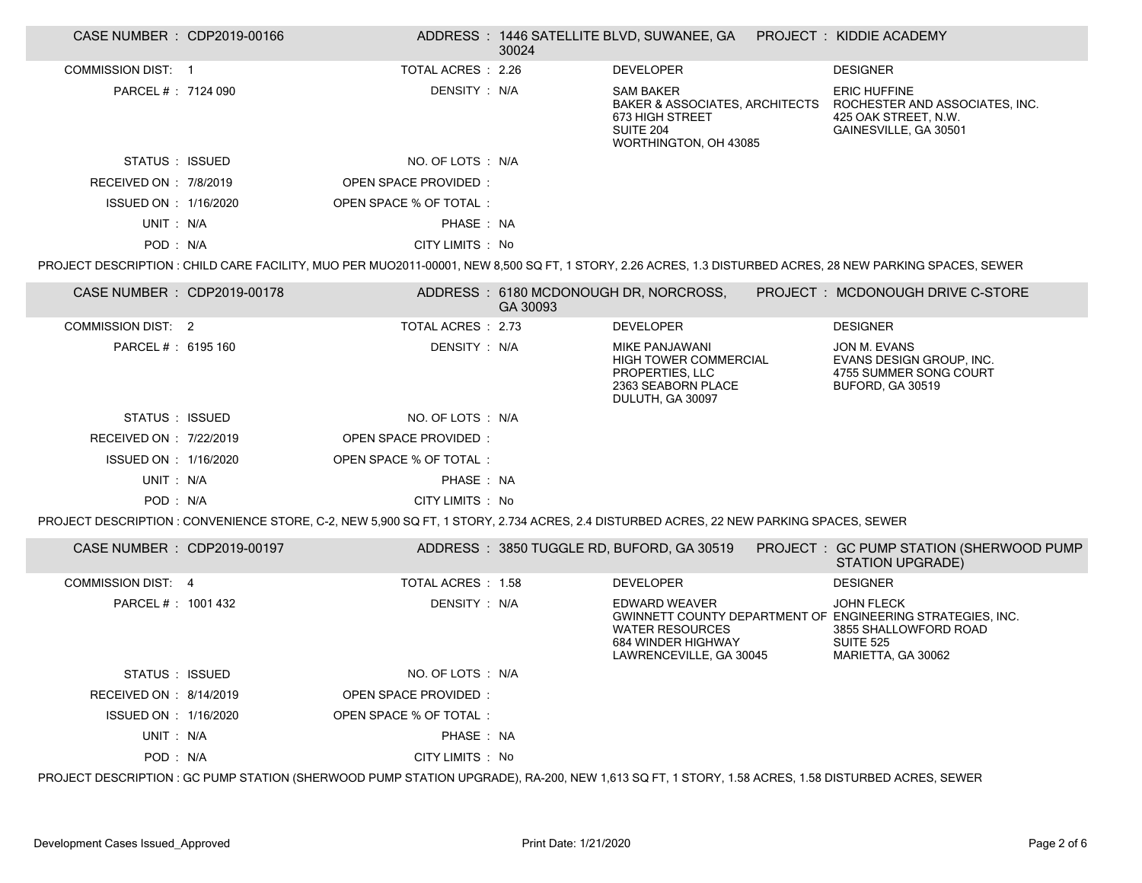| CASE NUMBER : CDP2019-00166 |                                                                                                                                                  | 30024    | ADDRESS: 1446 SATELLITE BLVD, SUWANEE, GA    PROJECT: KIDDIE ACADEMY                                                          |                                                                                                                                                           |
|-----------------------------|--------------------------------------------------------------------------------------------------------------------------------------------------|----------|-------------------------------------------------------------------------------------------------------------------------------|-----------------------------------------------------------------------------------------------------------------------------------------------------------|
| <b>COMMISSION DIST: 1</b>   | TOTAL ACRES : 2.26                                                                                                                               |          | <b>DEVELOPER</b>                                                                                                              | <b>DESIGNER</b>                                                                                                                                           |
| PARCEL # : 7124 090         | DENSITY: N/A                                                                                                                                     |          | <b>SAM BAKER</b><br><b>BAKER &amp; ASSOCIATES, ARCHITECTS</b><br>673 HIGH STREET<br><b>SUITE 204</b><br>WORTHINGTON, OH 43085 | <b>ERIC HUFFINE</b><br>ROCHESTER AND ASSOCIATES, INC.<br>425 OAK STREET, N.W.<br>GAINESVILLE, GA 30501                                                    |
| STATUS : ISSUED             | NO. OF LOTS : N/A                                                                                                                                |          |                                                                                                                               |                                                                                                                                                           |
| RECEIVED ON : 7/8/2019      | <b>OPEN SPACE PROVIDED:</b>                                                                                                                      |          |                                                                                                                               |                                                                                                                                                           |
| ISSUED ON : 1/16/2020       | OPEN SPACE % OF TOTAL:                                                                                                                           |          |                                                                                                                               |                                                                                                                                                           |
| UNIT : N/A                  | PHASE: NA                                                                                                                                        |          |                                                                                                                               |                                                                                                                                                           |
| POD: N/A                    | CITY LIMITS : No                                                                                                                                 |          |                                                                                                                               |                                                                                                                                                           |
|                             |                                                                                                                                                  |          |                                                                                                                               | PROJECT DESCRIPTION : CHILD CARE FACILITY, MUO PER MUO2011-00001, NEW 8,500 SQ FT, 1 STORY, 2.26 ACRES, 1.3 DISTURBED ACRES, 28 NEW PARKING SPACES, SEWER |
| CASE NUMBER : CDP2019-00178 |                                                                                                                                                  | GA 30093 | ADDRESS: 6180 MCDONOUGH DR, NORCROSS,                                                                                         | PROJECT: MCDONOUGH DRIVE C-STORE                                                                                                                          |
| <b>COMMISSION DIST: 2</b>   | TOTAL ACRES : 2.73                                                                                                                               |          | <b>DEVELOPER</b>                                                                                                              | <b>DESIGNER</b>                                                                                                                                           |
| PARCEL # : 6195 160         | DENSITY: N/A                                                                                                                                     |          | MIKE PANJAWANI<br><b>HIGH TOWER COMMERCIAL</b><br>PROPERTIES, LLC<br>2363 SEABORN PLACE<br>DULUTH, GA 30097                   | JON M. EVANS<br>EVANS DESIGN GROUP, INC.<br>4755 SUMMER SONG COURT<br><b>BUFORD, GA 30519</b>                                                             |
| STATUS : ISSUED             | NO. OF LOTS : N/A                                                                                                                                |          |                                                                                                                               |                                                                                                                                                           |
| RECEIVED ON : 7/22/2019     | <b>OPEN SPACE PROVIDED:</b>                                                                                                                      |          |                                                                                                                               |                                                                                                                                                           |
| ISSUED ON : 1/16/2020       | OPEN SPACE % OF TOTAL:                                                                                                                           |          |                                                                                                                               |                                                                                                                                                           |
| UNIT: N/A                   | PHASE: NA                                                                                                                                        |          |                                                                                                                               |                                                                                                                                                           |
| POD: N/A                    | CITY LIMITS : No                                                                                                                                 |          |                                                                                                                               |                                                                                                                                                           |
|                             | PROJECT DESCRIPTION : CONVENIENCE STORE, C-2, NEW 5,900 SQ FT, 1 STORY, 2.734 ACRES, 2.4 DISTURBED ACRES, 22 NEW PARKING SPACES, SEWER           |          |                                                                                                                               |                                                                                                                                                           |
| CASE NUMBER : CDP2019-00197 |                                                                                                                                                  |          | ADDRESS: 3850 TUGGLE RD, BUFORD, GA 30519                                                                                     | PROJECT: GC PUMP STATION (SHERWOOD PUMP<br><b>STATION UPGRADE)</b>                                                                                        |
| <b>COMMISSION DIST: 4</b>   | TOTAL ACRES : 1.58                                                                                                                               |          | <b>DEVELOPER</b>                                                                                                              | <b>DESIGNER</b>                                                                                                                                           |
| PARCEL #: 1001 432          | DENSITY: N/A                                                                                                                                     |          | EDWARD WEAVER<br><b>WATER RESOURCES</b><br>684 WINDER HIGHWAY<br>LAWRENCEVILLE, GA 30045                                      | <b>JOHN FLECK</b><br>GWINNETT COUNTY DEPARTMENT OF ENGINEERING STRATEGIES, INC.<br>3855 SHALLOWFORD ROAD<br><b>SUITE 525</b><br>MARIETTA, GA 30062        |
| STATUS : ISSUED             | NO. OF LOTS: N/A                                                                                                                                 |          |                                                                                                                               |                                                                                                                                                           |
| RECEIVED ON : 8/14/2019     | OPEN SPACE PROVIDED:                                                                                                                             |          |                                                                                                                               |                                                                                                                                                           |
| ISSUED ON : 1/16/2020       | OPEN SPACE % OF TOTAL:                                                                                                                           |          |                                                                                                                               |                                                                                                                                                           |
| UNIT: N/A                   | PHASE: NA                                                                                                                                        |          |                                                                                                                               |                                                                                                                                                           |
| POD: N/A                    | CITY LIMITS : No                                                                                                                                 |          |                                                                                                                               |                                                                                                                                                           |
|                             | PROJECT DESCRIPTION : GC PUMP STATION (SHERWOOD PUMP STATION UPGRADE), RA-200, NEW 1,613 SQ FT, 1 STORY, 1.58 ACRES, 1.58 DISTURBED ACRES, SEWER |          |                                                                                                                               |                                                                                                                                                           |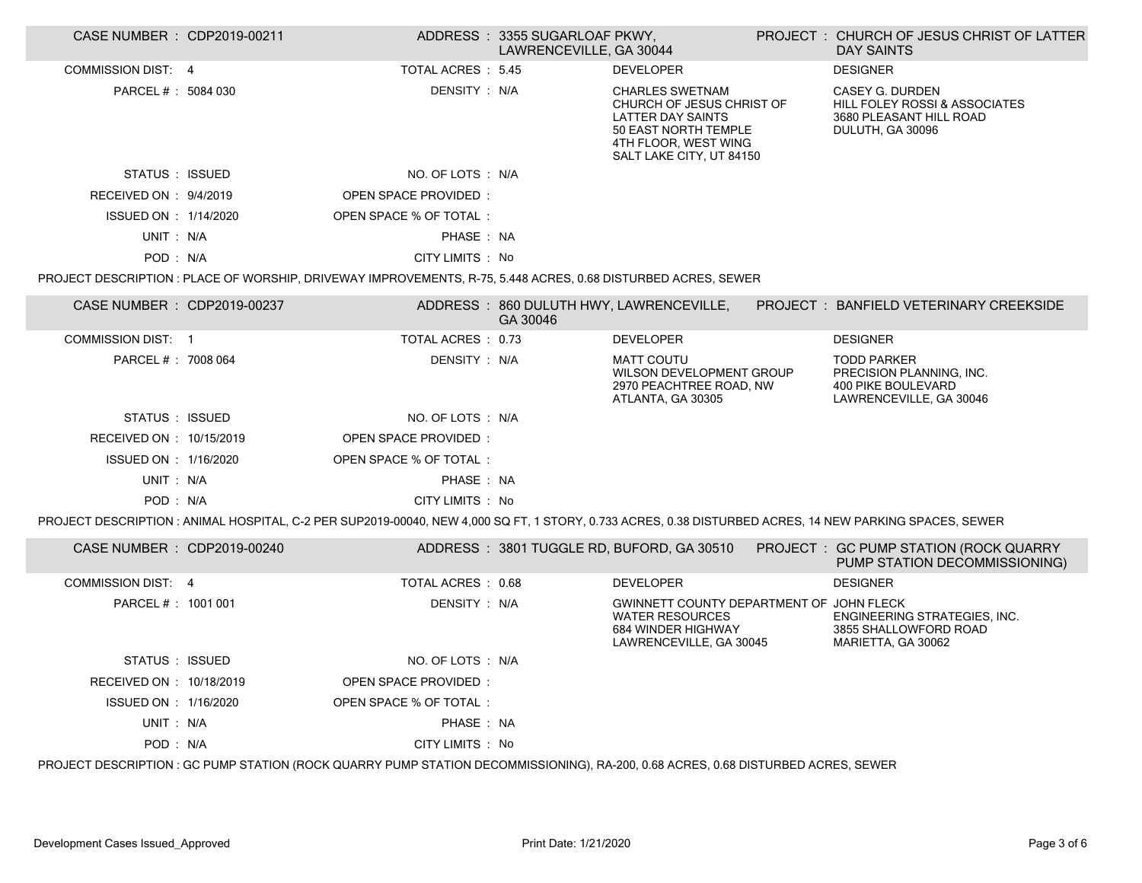| CASE NUMBER : CDP2019-00211 |                                                                                                                                   | ADDRESS: 3355 SUGARLOAF PKWY,<br>LAWRENCEVILLE, GA 30044 |                                                                                                                                                             | PROJECT: CHURCH OF JESUS CHRIST OF LATTER<br><b>DAY SAINTS</b>                                                                                         |
|-----------------------------|-----------------------------------------------------------------------------------------------------------------------------------|----------------------------------------------------------|-------------------------------------------------------------------------------------------------------------------------------------------------------------|--------------------------------------------------------------------------------------------------------------------------------------------------------|
| <b>COMMISSION DIST: 4</b>   | <b>TOTAL ACRES : 5.45</b>                                                                                                         |                                                          | <b>DEVELOPER</b>                                                                                                                                            | <b>DESIGNER</b>                                                                                                                                        |
| PARCEL # : 5084 030         | DENSITY : N/A                                                                                                                     |                                                          | <b>CHARLES SWETNAM</b><br>CHURCH OF JESUS CHRIST OF<br><b>LATTER DAY SAINTS</b><br>50 EAST NORTH TEMPLE<br>4TH FLOOR, WEST WING<br>SALT LAKE CITY, UT 84150 | CASEY G. DURDEN<br><b>HILL FOLEY ROSSI &amp; ASSOCIATES</b><br>3680 PLEASANT HILL ROAD<br>DULUTH, GA 30096                                             |
| STATUS : ISSUED             | NO. OF LOTS : N/A                                                                                                                 |                                                          |                                                                                                                                                             |                                                                                                                                                        |
| RECEIVED ON : 9/4/2019      | OPEN SPACE PROVIDED:                                                                                                              |                                                          |                                                                                                                                                             |                                                                                                                                                        |
| ISSUED ON : 1/14/2020       | OPEN SPACE % OF TOTAL:                                                                                                            |                                                          |                                                                                                                                                             |                                                                                                                                                        |
| UNIT: N/A                   | PHASE: NA                                                                                                                         |                                                          |                                                                                                                                                             |                                                                                                                                                        |
| POD: N/A                    | CITY LIMITS : No                                                                                                                  |                                                          |                                                                                                                                                             |                                                                                                                                                        |
|                             | PROJECT DESCRIPTION : PLACE OF WORSHIP, DRIVEWAY IMPROVEMENTS, R-75, 5.448 ACRES, 0.68 DISTURBED ACRES, SEWER                     |                                                          |                                                                                                                                                             |                                                                                                                                                        |
| CASE NUMBER : CDP2019-00237 |                                                                                                                                   | GA 30046                                                 | ADDRESS: 860 DULUTH HWY, LAWRENCEVILLE,                                                                                                                     | <b>PROJECT : BANFIELD VETERINARY CREEKSIDE</b>                                                                                                         |
| COMMISSION DIST: 1          | TOTAL ACRES : 0.73                                                                                                                |                                                          | <b>DEVELOPER</b>                                                                                                                                            | <b>DESIGNER</b>                                                                                                                                        |
| PARCEL # : 7008 064         | DENSITY: N/A                                                                                                                      |                                                          | <b>MATT COUTU</b><br>WILSON DEVELOPMENT GROUP<br>2970 PEACHTREE ROAD, NW<br>ATLANTA, GA 30305                                                               | <b>TODD PARKER</b><br>PRECISION PLANNING, INC.<br><b>400 PIKE BOULEVARD</b><br>LAWRENCEVILLE, GA 30046                                                 |
| STATUS : ISSUED             | NO. OF LOTS : N/A                                                                                                                 |                                                          |                                                                                                                                                             |                                                                                                                                                        |
| RECEIVED ON : 10/15/2019    | OPEN SPACE PROVIDED:                                                                                                              |                                                          |                                                                                                                                                             |                                                                                                                                                        |
| ISSUED ON : 1/16/2020       | OPEN SPACE % OF TOTAL:                                                                                                            |                                                          |                                                                                                                                                             |                                                                                                                                                        |
| UNIT: N/A                   | PHASE: NA                                                                                                                         |                                                          |                                                                                                                                                             |                                                                                                                                                        |
| POD: N/A                    | CITY LIMITS : No                                                                                                                  |                                                          |                                                                                                                                                             |                                                                                                                                                        |
|                             |                                                                                                                                   |                                                          |                                                                                                                                                             | PROJECT DESCRIPTION: ANIMAL HOSPITAL, C-2 PER SUP2019-00040, NEW 4,000 SQ FT, 1 STORY, 0.733 ACRES, 0.38 DISTURBED ACRES, 14 NEW PARKING SPACES, SEWER |
| CASE NUMBER : CDP2019-00240 |                                                                                                                                   |                                                          |                                                                                                                                                             | ADDRESS: 3801 TUGGLE RD, BUFORD, GA 30510 PROJECT: GC PUMP STATION (ROCK QUARRY<br>PUMP STATION DECOMMISSIONING)                                       |
| <b>COMMISSION DIST: 4</b>   | TOTAL ACRES : 0.68                                                                                                                |                                                          | <b>DEVELOPER</b>                                                                                                                                            | <b>DESIGNER</b>                                                                                                                                        |
| PARCEL # : 1001 001         | DENSITY: N/A                                                                                                                      |                                                          | GWINNETT COUNTY DEPARTMENT OF JOHN FLECK<br><b>WATER RESOURCES</b><br>684 WINDER HIGHWAY<br>LAWRENCEVILLE, GA 30045                                         | ENGINEERING STRATEGIES, INC.<br>3855 SHALLOWFORD ROAD<br>MARIETTA, GA 30062                                                                            |
| STATUS : ISSUED             | NO. OF LOTS : N/A                                                                                                                 |                                                          |                                                                                                                                                             |                                                                                                                                                        |
| RECEIVED ON : 10/18/2019    | OPEN SPACE PROVIDED:                                                                                                              |                                                          |                                                                                                                                                             |                                                                                                                                                        |
| ISSUED ON : 1/16/2020       | OPEN SPACE % OF TOTAL:                                                                                                            |                                                          |                                                                                                                                                             |                                                                                                                                                        |
| UNIT: N/A                   | PHASE: NA                                                                                                                         |                                                          |                                                                                                                                                             |                                                                                                                                                        |
| POD: N/A                    | CITY LIMITS : No                                                                                                                  |                                                          |                                                                                                                                                             |                                                                                                                                                        |
|                             | PROJECT DESCRIPTION : GC PUMP STATION (ROCK QUARRY PUMP STATION DECOMMISSIONING), RA-200, 0.68 ACRES, 0.68 DISTURBED ACRES, SEWER |                                                          |                                                                                                                                                             |                                                                                                                                                        |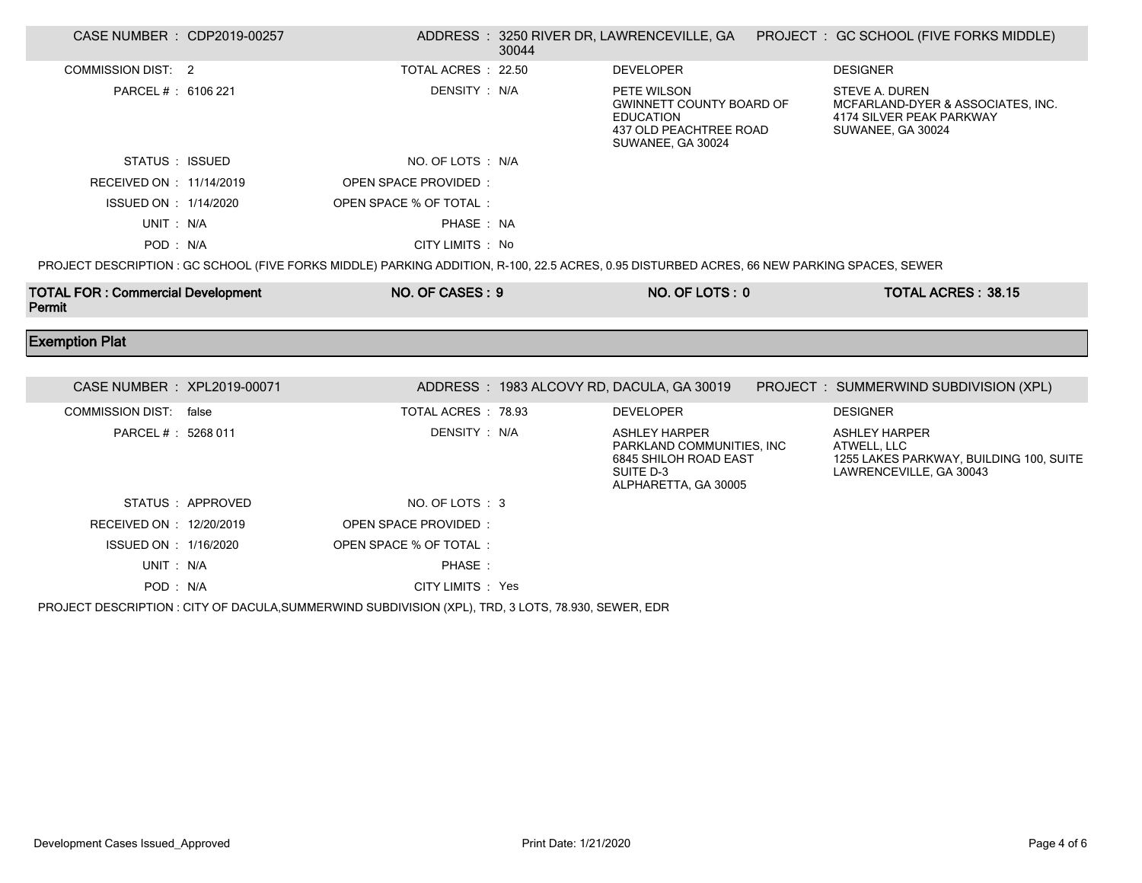| CASE NUMBER : CDP2019-00257              |                   |                                                                                                                                            | 30044 |                                                                                                                   | ADDRESS: 3250 RIVER DR, LAWRENCEVILLE, GA PROJECT: GC SCHOOL (FIVE FORKS MIDDLE)                            |
|------------------------------------------|-------------------|--------------------------------------------------------------------------------------------------------------------------------------------|-------|-------------------------------------------------------------------------------------------------------------------|-------------------------------------------------------------------------------------------------------------|
| <b>COMMISSION DIST: 2</b>                |                   | TOTAL ACRES : 22.50                                                                                                                        |       | <b>DEVELOPER</b>                                                                                                  | <b>DESIGNER</b>                                                                                             |
| PARCEL #: 6106 221                       |                   | DENSITY: N/A                                                                                                                               |       | PETE WILSON<br><b>GWINNETT COUNTY BOARD OF</b><br><b>EDUCATION</b><br>437 OLD PEACHTREE ROAD<br>SUWANEE, GA 30024 | <b>STEVE A. DUREN</b><br>MCFARLAND-DYER & ASSOCIATES, INC.<br>4174 SILVER PEAK PARKWAY<br>SUWANEE, GA 30024 |
| STATUS : ISSUED                          |                   | NO. OF LOTS: N/A                                                                                                                           |       |                                                                                                                   |                                                                                                             |
| RECEIVED ON : 11/14/2019                 |                   | OPEN SPACE PROVIDED:                                                                                                                       |       |                                                                                                                   |                                                                                                             |
| ISSUED ON : 1/14/2020                    |                   | OPEN SPACE % OF TOTAL:                                                                                                                     |       |                                                                                                                   |                                                                                                             |
| UNIT: N/A                                |                   | PHASE: NA                                                                                                                                  |       |                                                                                                                   |                                                                                                             |
| POD: N/A                                 |                   | CITY LIMITS : No                                                                                                                           |       |                                                                                                                   |                                                                                                             |
|                                          |                   | PROJECT DESCRIPTION: GC SCHOOL (FIVE FORKS MIDDLE) PARKING ADDITION, R-100, 22.5 ACRES, 0.95 DISTURBED ACRES, 66 NEW PARKING SPACES, SEWER |       |                                                                                                                   |                                                                                                             |
| <b>TOTAL FOR: Commercial Development</b> |                   | NO. OF CASES: 9                                                                                                                            |       | NO. OF LOTS: 0                                                                                                    | <b>TOTAL ACRES: 38.15</b>                                                                                   |
| Permit                                   |                   |                                                                                                                                            |       |                                                                                                                   |                                                                                                             |
| <b>Exemption Plat</b>                    |                   |                                                                                                                                            |       |                                                                                                                   |                                                                                                             |
|                                          |                   |                                                                                                                                            |       |                                                                                                                   |                                                                                                             |
| CASE NUMBER : XPL2019-00071              |                   |                                                                                                                                            |       | ADDRESS: 1983 ALCOVY RD, DACULA, GA 30019                                                                         | PROJECT : SUMMERWIND SUBDIVISION (XPL)                                                                      |
| COMMISSION DIST: false                   |                   | TOTAL ACRES : 78.93                                                                                                                        |       | <b>DEVELOPER</b>                                                                                                  | <b>DESIGNER</b>                                                                                             |
| PARCEL #: 5268 011                       |                   | DENSITY: N/A                                                                                                                               |       | <b>ASHLEY HARPER</b><br>PARKLAND COMMUNITIES, INC<br>6845 SHILOH ROAD EAST<br>SUITE D-3<br>ALPHARETTA, GA 30005   | <b>ASHLEY HARPER</b><br>ATWELL, LLC<br>1255 LAKES PARKWAY, BUILDING 100, SUITE<br>LAWRENCEVILLE, GA 30043   |
|                                          | STATUS : APPROVED | NO. OF LOTS: 3                                                                                                                             |       |                                                                                                                   |                                                                                                             |
| RECEIVED ON : 12/20/2019                 |                   | OPEN SPACE PROVIDED:                                                                                                                       |       |                                                                                                                   |                                                                                                             |
| ISSUED ON : 1/16/2020                    |                   | OPEN SPACE % OF TOTAL:                                                                                                                     |       |                                                                                                                   |                                                                                                             |
| UNIT: N/A                                |                   | PHASE:                                                                                                                                     |       |                                                                                                                   |                                                                                                             |

PROJECT DESCRIPTION : CITY OF DACULA,SUMMERWIND SUBDIVISION (XPL), TRD, 3 LOTS, 78.930, SEWER, EDR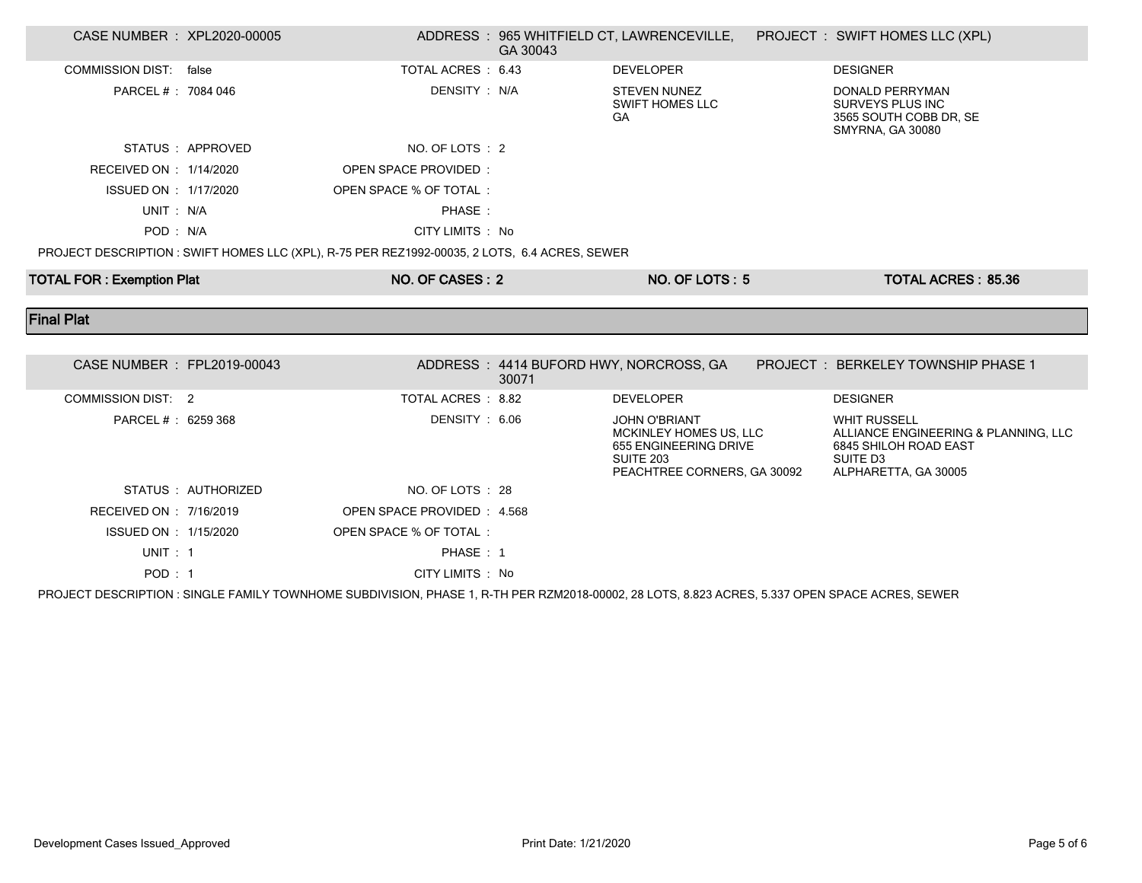| CASE NUMBER : XPL2020-00005      |                     |                                                                                               | GA 30043 | ADDRESS: 965 WHITFIELD CT, LAWRENCEVILLE,                                                                                  | PROJECT : SWIFT HOMES LLC (XPL)                                                                                          |
|----------------------------------|---------------------|-----------------------------------------------------------------------------------------------|----------|----------------------------------------------------------------------------------------------------------------------------|--------------------------------------------------------------------------------------------------------------------------|
| COMMISSION DIST: false           |                     | TOTAL ACRES: 6.43                                                                             |          | <b>DEVELOPER</b>                                                                                                           | <b>DESIGNER</b>                                                                                                          |
| PARCEL # : 7084 046              |                     | DENSITY : N/A                                                                                 |          | <b>STEVEN NUNEZ</b><br><b>SWIFT HOMES LLC</b><br>GA                                                                        | <b>DONALD PERRYMAN</b><br><b>SURVEYS PLUS INC</b><br>3565 SOUTH COBB DR, SE<br><b>SMYRNA, GA 30080</b>                   |
|                                  | STATUS : APPROVED   | NO. OF LOTS : 2                                                                               |          |                                                                                                                            |                                                                                                                          |
| RECEIVED ON : 1/14/2020          |                     | <b>OPEN SPACE PROVIDED:</b>                                                                   |          |                                                                                                                            |                                                                                                                          |
| ISSUED ON : 1/17/2020            |                     | OPEN SPACE % OF TOTAL:                                                                        |          |                                                                                                                            |                                                                                                                          |
| UNIT: N/A                        |                     | PHASE:                                                                                        |          |                                                                                                                            |                                                                                                                          |
| POD: N/A                         |                     | CITY LIMITS : No                                                                              |          |                                                                                                                            |                                                                                                                          |
|                                  |                     | PROJECT DESCRIPTION : SWIFT HOMES LLC (XPL), R-75 PER REZ1992-00035, 2 LOTS, 6.4 ACRES, SEWER |          |                                                                                                                            |                                                                                                                          |
| <b>TOTAL FOR: Exemption Plat</b> |                     | NO. OF CASES: 2                                                                               |          | NO. OF LOTS: 5                                                                                                             | <b>TOTAL ACRES: 85.36</b>                                                                                                |
|                                  |                     |                                                                                               |          |                                                                                                                            |                                                                                                                          |
|                                  |                     |                                                                                               |          |                                                                                                                            |                                                                                                                          |
| <b>Final Plat</b>                |                     |                                                                                               |          |                                                                                                                            |                                                                                                                          |
|                                  |                     |                                                                                               |          |                                                                                                                            |                                                                                                                          |
| CASE NUMBER : FPL2019-00043      |                     |                                                                                               | 30071    | ADDRESS: 4414 BUFORD HWY, NORCROSS, GA                                                                                     | <b>PROJECT: BERKELEY TOWNSHIP PHASE 1</b>                                                                                |
| <b>COMMISSION DIST: 2</b>        |                     | TOTAL ACRES: 8.82                                                                             |          | <b>DEVELOPER</b>                                                                                                           | <b>DESIGNER</b>                                                                                                          |
| PARCEL # : 6259 368              |                     | DENSITY: 6.06                                                                                 |          | <b>JOHN O'BRIANT</b><br>MCKINLEY HOMES US, LLC<br>655 ENGINEERING DRIVE<br><b>SUITE 203</b><br>PEACHTREE CORNERS, GA 30092 | <b>WHIT RUSSELL</b><br>ALLIANCE ENGINEERING & PLANNING, LLC<br>6845 SHILOH ROAD EAST<br>SUITE D3<br>ALPHARETTA, GA 30005 |
|                                  | STATUS : AUTHORIZED | NO. OF LOTS : 28                                                                              |          |                                                                                                                            |                                                                                                                          |
| RECEIVED ON : 7/16/2019          |                     | OPEN SPACE PROVIDED: 4.568                                                                    |          |                                                                                                                            |                                                                                                                          |
| ISSUED ON : 1/15/2020            |                     | OPEN SPACE % OF TOTAL:                                                                        |          |                                                                                                                            |                                                                                                                          |
| UNIT : 1                         |                     | PHASE: 1                                                                                      |          |                                                                                                                            |                                                                                                                          |

PROJECT DESCRIPTION : SINGLE FAMILY TOWNHOME SUBDIVISION, PHASE 1, R-TH PER RZM2018-00002, 28 LOTS, 8.823 ACRES, 5.337 OPEN SPACE ACRES, SEWER